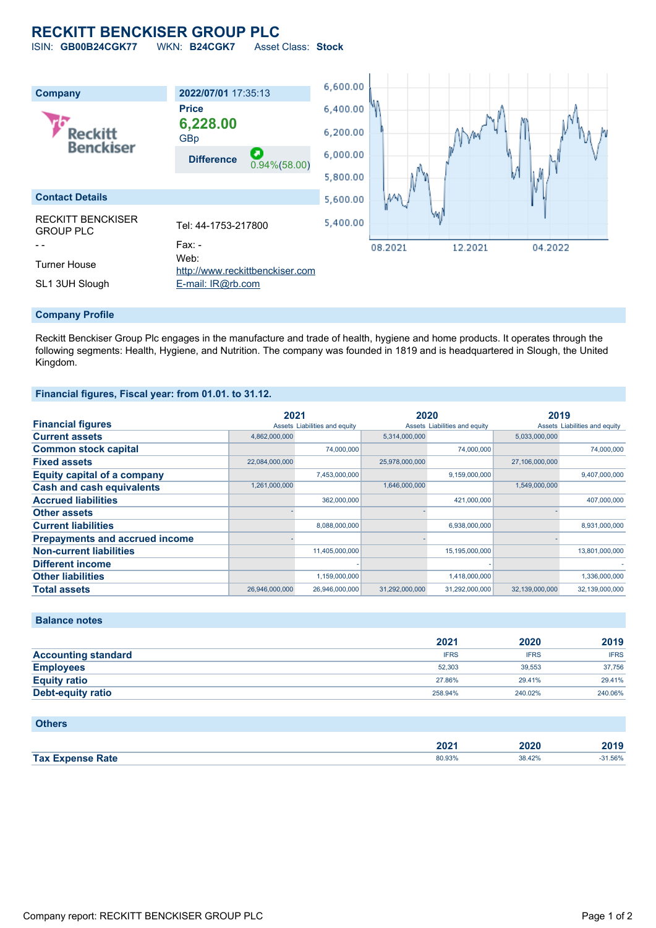# **RECKITT BENCKISER GROUP PLC**

ISIN: **GB00B24CGK77** WKN: **B24CGK7** Asset Class: **Stock**



#### **Company Profile**

Reckitt Benckiser Group Plc engages in the manufacture and trade of health, hygiene and home products. It operates through the following segments: Health, Hygiene, and Nutrition. The company was founded in 1819 and is headquartered in Slough, the United Kingdom.

### **Financial figures, Fiscal year: from 01.01. to 31.12.**

|                                       | 2021           |                               | 2020           |                               | 2019           |                               |
|---------------------------------------|----------------|-------------------------------|----------------|-------------------------------|----------------|-------------------------------|
| <b>Financial figures</b>              |                | Assets Liabilities and equity |                | Assets Liabilities and equity |                | Assets Liabilities and equity |
| <b>Current assets</b>                 | 4,862,000,000  |                               | 5,314,000,000  |                               | 5,033,000,000  |                               |
| <b>Common stock capital</b>           |                | 74,000,000                    |                | 74,000,000                    |                | 74.000.000                    |
| <b>Fixed assets</b>                   | 22,084,000,000 |                               | 25,978,000,000 |                               | 27,106,000,000 |                               |
| <b>Equity capital of a company</b>    |                | 7,453,000,000                 |                | 9,159,000,000                 |                | 9,407,000,000                 |
| <b>Cash and cash equivalents</b>      | 1,261,000,000  |                               | 1,646,000,000  |                               | 1,549,000,000  |                               |
| <b>Accrued liabilities</b>            |                | 362,000,000                   |                | 421,000,000                   |                | 407,000,000                   |
| <b>Other assets</b>                   |                |                               |                |                               |                |                               |
| <b>Current liabilities</b>            |                | 8,088,000,000                 |                | 6,938,000,000                 |                | 8,931,000,000                 |
| <b>Prepayments and accrued income</b> |                |                               |                |                               |                |                               |
| <b>Non-current liabilities</b>        |                | 11,405,000,000                |                | 15,195,000,000                |                | 13,801,000,000                |
| <b>Different income</b>               |                |                               |                |                               |                |                               |
| <b>Other liabilities</b>              |                | 1,159,000,000                 |                | 1,418,000,000                 |                | 1,336,000,000                 |
| <b>Total assets</b>                   | 26,946,000,000 | 26,946,000,000                | 31,292,000,000 | 31,292,000,000                | 32.139.000.000 | 32,139,000,000                |

## **Balance notes**

|                            | 2021        | 2020        | 2019        |
|----------------------------|-------------|-------------|-------------|
| <b>Accounting standard</b> | <b>IFRS</b> | <b>IFRS</b> | <b>IFRS</b> |
| <b>Employees</b>           | 52.303      | 39.553      | 37,756      |
| <b>Equity ratio</b>        | 27.86%      | 29.41%      | 29.41%      |
| <b>Debt-equity ratio</b>   | 258.94%     | 240.02%     | 240.06%     |

#### **Others**

|                         | רחר<br>494 | 2020   | 1040 |
|-------------------------|------------|--------|------|
| <b>Tax Expense Rate</b> | 80.93%     | 38.42% | .56% |